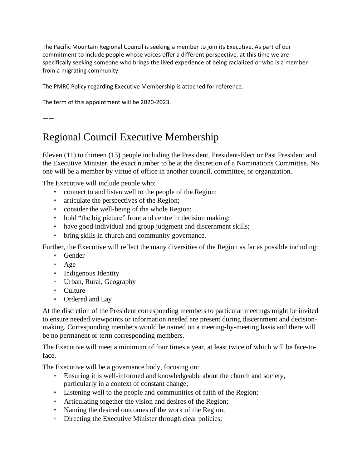The Pacific Mountain Regional Council is seeking a member to join its Executive. As part of our commitment to include people whose voices offer a different perspective, at this time we are specifically seeking someone who brings the lived experience of being racialized or who is a member from a migrating community.

The PMRC Policy regarding Executive Membership is attached for reference.

The term of this appointment will be 2020-2023.

——

## Regional Council Executive Membership

Eleven (11) to thirteen (13) people including the President, President-Elect or Past President and the Executive Minister, the exact number to be at the discretion of a Nominations Committee. No one will be a member by virtue of office in another council, committee, or organization.

The Executive will include people who:

- connect to and listen well to the people of the Region;
- articulate the perspectives of the Region;
- consider the well-being of the whole Region;
- \* hold "the big picture" front and centre in decision making;
- have good individual and group judgment and discernment skills;
- bring skills in church and community governance.

Further, the Executive will reflect the many diversities of the Region as far as possible including:

- Gender
- Age
- Indigenous Identity
- Urban, Rural, Geography
- Culture
- Ordered and Lay

At the discretion of the President corresponding members to particular meetings might be invited to ensure needed viewpoints or information needed are present during discernment and decisionmaking. Corresponding members would be named on a meeting-by-meeting basis and there will be no permanent or term corresponding members.

The Executive will meet a minimum of four times a year, at least twice of which will be face-toface.

The Executive will be a governance body, focusing on:

- Ensuring it is well-informed and knowledgeable about the church and society, particularly in a context of constant change;
- Listening well to the people and communities of faith of the Region;
- Articulating together the vision and desires of the Region;
- Naming the desired outcomes of the work of the Region;
- Directing the Executive Minister through clear policies;